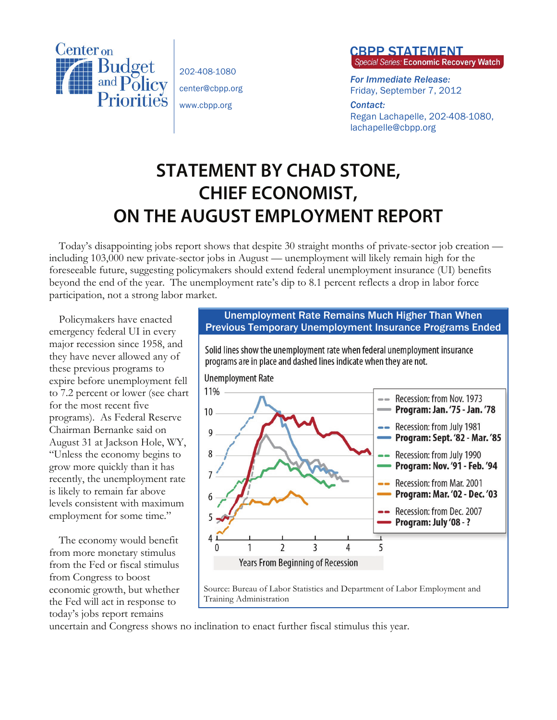

202-408-1080 center@cbpp.org www.cbpp.org

## **CBPP STATEMENT**<br>Special Series: Economic Recovery Watch

*For Immediate Release:*  Friday, September 7, 2012

*Contact:*  Regan Lachapelle, 202-408-1080, lachapelle@cbpp.org

## **STATEMENT BY CHAD STONE, CHIEF ECONOMIST, ON THE AUGUST EMPLOYMENT REPORT**

Today's disappointing jobs report shows that despite 30 straight months of private-sector job creation including 103,000 new private-sector jobs in August — unemployment will likely remain high for the foreseeable future, suggesting policymakers should extend federal unemployment insurance (UI) benefits beyond the end of the year. The unemployment rate's dip to 8.1 percent reflects a drop in labor force participation, not a strong labor market.

Policymakers have enacted emergency federal UI in every major recession since 1958, and they have never allowed any of these previous programs to expire before unemployment fell to 7.2 percent or lower (see chart for the most recent five programs). As Federal Reserve Chairman Bernanke said on August 31 at Jackson Hole, WY, "Unless the economy begins to grow more quickly than it has recently, the unemployment rate is likely to remain far above levels consistent with maximum employment for some time."

The economy would benefit from more monetary stimulus from the Fed or fiscal stimulus from Congress to boost economic growth, but whether the Fed will act in response to today's jobs report remains

## Unemployment Rate Remains Much Higher Than When Previous Temporary Unemployment Insurance Programs Ended



uncertain and Congress shows no inclination to enact further fiscal stimulus this year.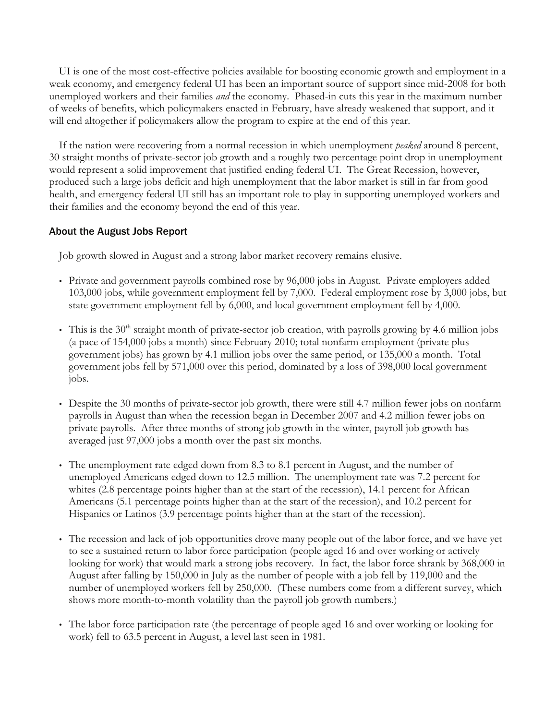UI is one of the most cost-effective policies available for boosting economic growth and employment in a weak economy, and emergency federal UI has been an important source of support since mid-2008 for both unemployed workers and their families *and* the economy. Phased-in cuts this year in the maximum number of weeks of benefits, which policymakers enacted in February, have already weakened that support, and it will end altogether if policymakers allow the program to expire at the end of this year.

If the nation were recovering from a normal recession in which unemployment *peaked* around 8 percent, 30 straight months of private-sector job growth and a roughly two percentage point drop in unemployment would represent a solid improvement that justified ending federal UI. The Great Recession, however, produced such a large jobs deficit and high unemployment that the labor market is still in far from good health, and emergency federal UI still has an important role to play in supporting unemployed workers and their families and the economy beyond the end of this year.

## About the August Jobs Report

Job growth slowed in August and a strong labor market recovery remains elusive.

- Private and government payrolls combined rose by 96,000 jobs in August. Private employers added 103,000 jobs, while government employment fell by 7,000. Federal employment rose by 3,000 jobs, but state government employment fell by 6,000, and local government employment fell by 4,000.
- This is the 30<sup>th</sup> straight month of private-sector job creation, with payrolls growing by 4.6 million jobs (a pace of 154,000 jobs a month) since February 2010; total nonfarm employment (private plus government jobs) has grown by 4.1 million jobs over the same period, or 135,000 a month. Total government jobs fell by 571,000 over this period, dominated by a loss of 398,000 local government jobs.
- Despite the 30 months of private-sector job growth, there were still 4.7 million fewer jobs on nonfarm payrolls in August than when the recession began in December 2007 and 4.2 million fewer jobs on private payrolls. After three months of strong job growth in the winter, payroll job growth has averaged just 97,000 jobs a month over the past six months.
- The unemployment rate edged down from 8.3 to 8.1 percent in August, and the number of unemployed Americans edged down to 12.5 million. The unemployment rate was 7.2 percent for whites (2.8 percentage points higher than at the start of the recession), 14.1 percent for African Americans (5.1 percentage points higher than at the start of the recession), and 10.2 percent for Hispanics or Latinos (3.9 percentage points higher than at the start of the recession).
- The recession and lack of job opportunities drove many people out of the labor force, and we have yet to see a sustained return to labor force participation (people aged 16 and over working or actively looking for work) that would mark a strong jobs recovery. In fact, the labor force shrank by 368,000 in August after falling by 150,000 in July as the number of people with a job fell by 119,000 and the number of unemployed workers fell by 250,000. (These numbers come from a different survey, which shows more month-to-month volatility than the payroll job growth numbers.)
- The labor force participation rate (the percentage of people aged 16 and over working or looking for work) fell to 63.5 percent in August, a level last seen in 1981.